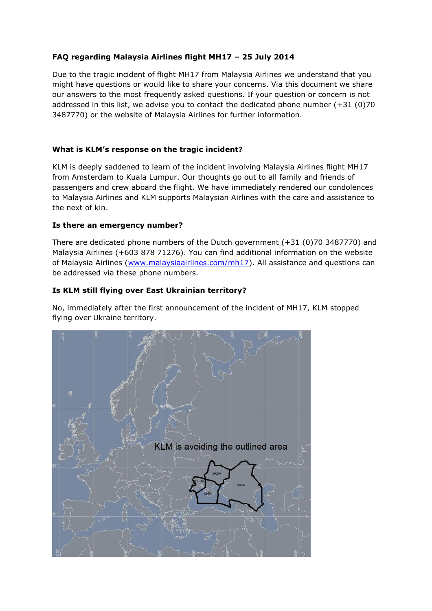# **FAQ regarding Malaysia Airlines flight MH17 – 25 July 2014**

Due to the tragic incident of flight MH17 from Malaysia Airlines we understand that you might have questions or would like to share your concerns. Via this document we share our answers to the most frequently asked questions. If your question or concern is not addressed in this list, we advise you to contact the dedicated phone number  $(+31 \ (0)70$ 3487770) or the website of Malaysia Airlines for further information.

### **What is KLM's response on the tragic incident?**

KLM is deeply saddened to learn of the incident involving Malaysia Airlines flight MH17 from Amsterdam to Kuala Lumpur. Our thoughts go out to all family and friends of passengers and crew aboard the flight. We have immediately rendered our condolences to Malaysia Airlines and KLM supports Malaysian Airlines with the care and assistance to the next of kin.

### **Is there an emergency number?**

There are dedicated phone numbers of the Dutch government (+31 (0)70 3487770) and Malaysia Airlines (+603 878 71276). You can find additional information on the website of Malaysia Airlines [\(www.malaysiaairlines.com/mh17\)](http://www.malaysiaairlines.com/mh17). All assistance and questions can be addressed via these phone numbers.

## **Is KLM still flying over East Ukrainian territory?**

No, immediately after the first announcement of the incident of MH17, KLM stopped flying over Ukraine territory.